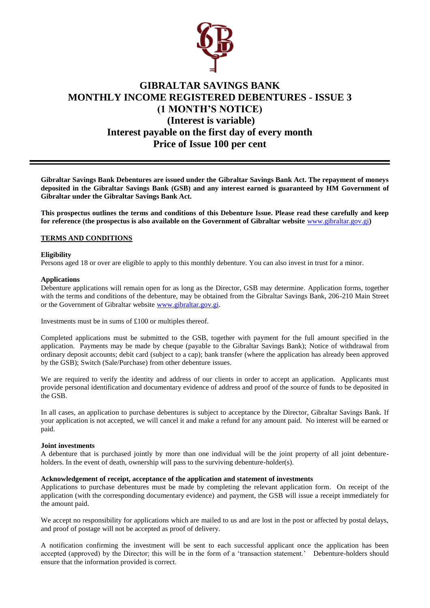

# **GIBRALTAR SAVINGS BANK MONTHLY INCOME REGISTERED DEBENTURES - ISSUE 3 (1 MONTH'S NOTICE) (Interest is variable) Interest payable on the first day of every month Price of Issue 100 per cent**

**Gibraltar Savings Bank Debentures are issued under the Gibraltar Savings Bank Act. The repayment of moneys deposited in the Gibraltar Savings Bank (GSB) and any interest earned is guaranteed by HM Government of Gibraltar under the Gibraltar Savings Bank Act.** 

**This prospectus outlines the terms and conditions of this Debenture Issue. Please read these carefully and keep for reference (the prospectus is also available on the Government of Gibraltar website** [www.gibraltar.gov.gi](http://www.gibraltar.gov.gi/)**)** 

## **TERMS AND CONDITIONS**

## **Eligibility**

Persons aged 18 or over are eligible to apply to this monthly debenture. You can also invest in trust for a minor.

#### **Applications**

Debenture applications will remain open for as long as the Director, GSB may determine. Application forms, together with the terms and conditions of the debenture, may be obtained from the Gibraltar Savings Bank, 206-210 Main Street or the Government of Gibraltar website [www.gibraltar.gov.gi.](http://www.gibraltar.gov.gi/)

Investments must be in sums of £100 or multiples thereof.

Completed applications must be submitted to the GSB, together with payment for the full amount specified in the application. Payments may be made by cheque (payable to the Gibraltar Savings Bank); Notice of withdrawal from ordinary deposit accounts; debit card (subject to a cap); bank transfer (where the application has already been approved by the GSB); Switch (Sale/Purchase) from other debenture issues.

We are required to verify the identity and address of our clients in order to accept an application. Applicants must provide personal identification and documentary evidence of address and proof of the source of funds to be deposited in the GSB.

In all cases, an application to purchase debentures is subject to acceptance by the Director, Gibraltar Savings Bank. If your application is not accepted, we will cancel it and make a refund for any amount paid. No interest will be earned or paid.

## **Joint investments**

A debenture that is purchased jointly by more than one individual will be the joint property of all joint debentureholders. In the event of death, ownership will pass to the surviving debenture-holder(s).

#### **Acknowledgement of receipt, acceptance of the application and statement of investments**

Applications to purchase debentures must be made by completing the relevant application form. On receipt of the application (with the corresponding documentary evidence) and payment, the GSB will issue a receipt immediately for the amount paid.

We accept no responsibility for applications which are mailed to us and are lost in the post or affected by postal delays, and proof of postage will not be accepted as proof of delivery.

A notification confirming the investment will be sent to each successful applicant once the application has been accepted (approved) by the Director; this will be in the form of a 'transaction statement.' Debenture-holders should ensure that the information provided is correct.